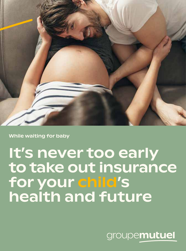

While waiting for baby

## It's never too early to take out insurance for your child's health and future

groupemutuel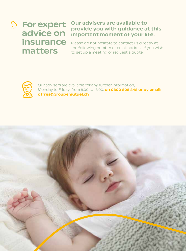$\sum$ 

### For expert advice on insurance matters

#### Our advisers are available to provide you with guidance at this important moment of your life.

Please do not hesitate to contact us directly at the following number or email address if you wish to set up a meeting or request a quote.



Our advisers are available for any further information, Monday to Friday, from 8.00 to 18.00, on 0800 808 848 or by email: offres@groupemutuel.ch

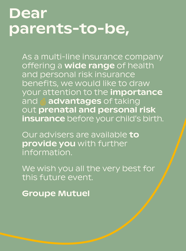## Dear parents-to-be,

As a multi-line insurance company offering a **wide range** of health and personal risk insurance benefits, we would like to draw your attention to the *importance* and  $\frac{1}{29}$  advantages of taking out prenatal and personal risk insurance before your child's birth.

Our advisers are available to provide you with further information.

We wish you all the very best for this future event.

Groupe Mutuel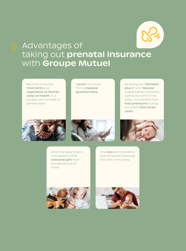

### Advantages of taking out prenatal insurance with Groupe Mutuel

My child is insured from birth and regardless of his/her state of health, in a private, semi-private or general ward.

I avoid having to fill in a **medical** questionnaire.

By taking out "Dentaire plus 2" and "Mundo" supplemental insurance before the birth of my baby, I will benefit from free premiums during my child's first three years.







When my baby is born, I will receive a free welcome gift from Groupe Mutuel at home.

One less administrative task to handle following the birth of my baby.



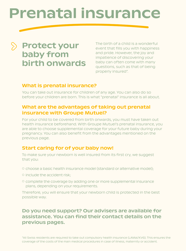## Prenatal insurance

## Protect your baby from birth onwards

The birth of a child is a wonderful event that fills you with happiness and pride. However, the joy and impatience of discovering your baby can often come with many questions, such as that of being properly insured\*.

#### What is prenatal insurance?

You can take out insurance for children of any age. You can also do so before your children are born. This is what "prenatal" insurance is all about.

#### What are the advantages of taking out prenatal insurance with Groupe Mutuel?

For your child to be covered from birth onwards, you must have taken out health insurance beforehand. With Groupe Mutuel's prenatal insurance, you are able to choose supplemental coverage for your future baby during your pregnancy. You can also benefit from the advantages mentioned on the previous page.

#### Start caring for of your baby now!

To make sure your newborn is well insured from its first cry, we suggest that you:

- choose a basic health insurance model (standard or alternative model);
- include the accident risk;
- complete the coverage by adding one or more supplemental insurance plans, depending on your requirements.

Therefore, you will ensure that your newborn child is protected in the best possible way.

#### Do you need support? Our advisers are available for assistance. You can find their contact details on the previous pages.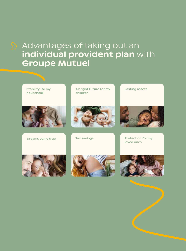## Advantages of taking out an individual provident plan with Groupe Mutuel





Dreams come true

A bright future for my children



Tax savings



Lasting assets

Protection for my loved ones





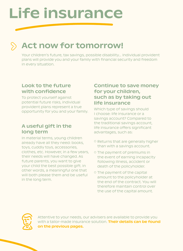# Life insurance

## Act now for tomorrow!

Your children's future, tax savings, possible disability… Individual provident plans will provide you and your family with financial security and freedom in every situation.

#### Look to the future with confidence

To protect yourself against potential future risks, individual provident plans represent a true opportunity for you and your family.

#### A useful gift in the long term

In material terms, young children already have all they need: books, toys, cuddly toys, accessories, clothes, etc. However, in a few years, their needs will have changed. As future parents, you want to give your child the best possible gift. In other words, a meaningful one that will both please them and be useful in the long term.

#### Continue to save money for your children, such as by taking out life insurance

Which type of savings should I choose: life insurance or a savings account? Compared to the traditional savings account, life insurance offers significant advantages, such as:

- Returns that are generally higher than with a savings account.
- The payment of premiums in the event of earning incapacity following illness, accident or death of the policyholder.
- The payment of the capital amount to the policyholder at the end of the contract. You will therefore maintain control over the use of the capital amount.



Attentive to your needs, our advisers are available to provide you with a tailor-made insurance solution. Their details can be found on the previous pages.